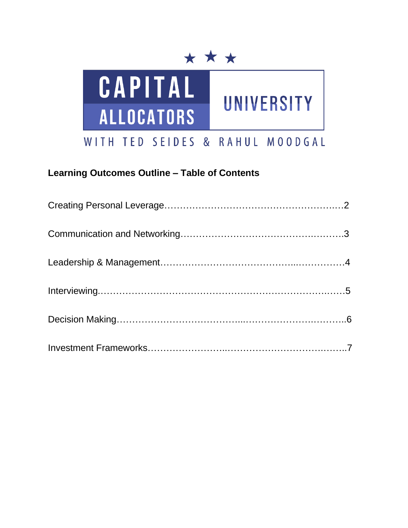



# **Learning Outcomes Outline – Table of Contents**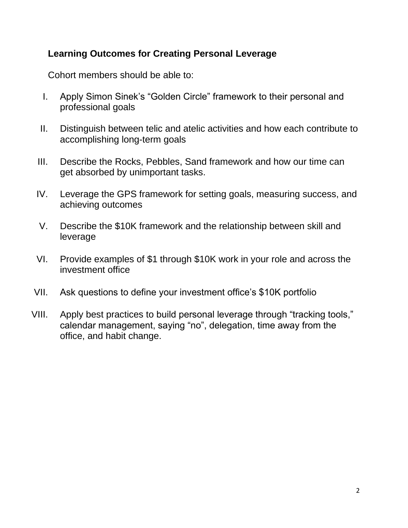### **Learning Outcomes for Creating Personal Leverage**

- I. Apply Simon Sinek's "Golden Circle" framework to their personal and professional goals
- II. Distinguish between telic and atelic activities and how each contribute to accomplishing long-term goals
- III. Describe the Rocks, Pebbles, Sand framework and how our time can get absorbed by unimportant tasks.
- IV. Leverage the GPS framework for setting goals, measuring success, and achieving outcomes
- V. Describe the \$10K framework and the relationship between skill and leverage
- VI. Provide examples of \$1 through \$10K work in your role and across the investment office
- VII. Ask questions to define your investment office's \$10K portfolio
- VIII. Apply best practices to build personal leverage through "tracking tools," calendar management, saying "no", delegation, time away from the office, and habit change.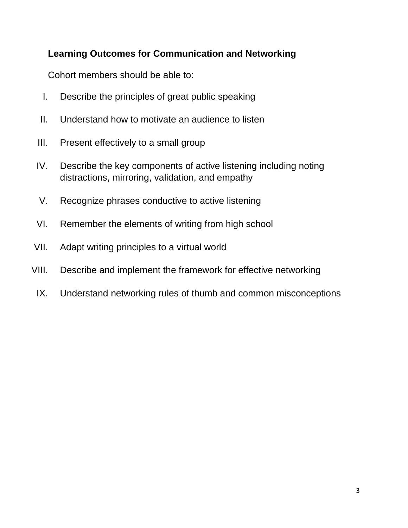## **Learning Outcomes for Communication and Networking**

- I. Describe the principles of great public speaking
- II. Understand how to motivate an audience to listen
- III. Present effectively to a small group
- IV. Describe the key components of active listening including noting distractions, mirroring, validation, and empathy
- V. Recognize phrases conductive to active listening
- VI. Remember the elements of writing from high school
- VII. Adapt writing principles to a virtual world
- VIII. Describe and implement the framework for effective networking
- IX. Understand networking rules of thumb and common misconceptions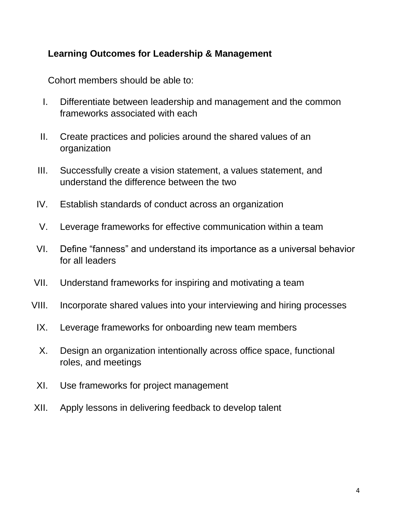### **Learning Outcomes for Leadership & Management**

- I. Differentiate between leadership and management and the common frameworks associated with each
- II. Create practices and policies around the shared values of an organization
- III. Successfully create a vision statement, a values statement, and understand the difference between the two
- IV. Establish standards of conduct across an organization
- V. Leverage frameworks for effective communication within a team
- VI. Define "fanness" and understand its importance as a universal behavior for all leaders
- VII. Understand frameworks for inspiring and motivating a team
- VIII. Incorporate shared values into your interviewing and hiring processes
	- IX. Leverage frameworks for onboarding new team members
	- X. Design an organization intentionally across office space, functional roles, and meetings
	- XI. Use frameworks for project management
- XII. Apply lessons in delivering feedback to develop talent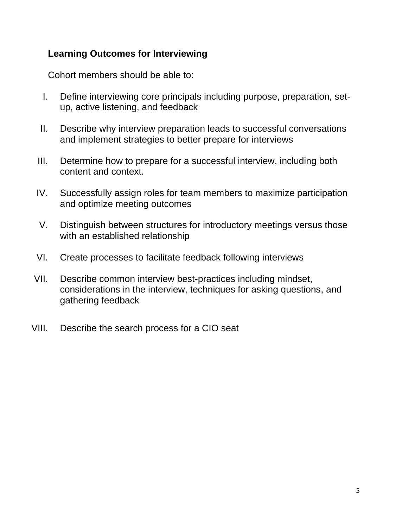#### **Learning Outcomes for Interviewing**

- I. Define interviewing core principals including purpose, preparation, setup, active listening, and feedback
- II. Describe why interview preparation leads to successful conversations and implement strategies to better prepare for interviews
- III. Determine how to prepare for a successful interview, including both content and context.
- IV. Successfully assign roles for team members to maximize participation and optimize meeting outcomes
- V. Distinguish between structures for introductory meetings versus those with an established relationship
- VI. Create processes to facilitate feedback following interviews
- VII. Describe common interview best-practices including mindset, considerations in the interview, techniques for asking questions, and gathering feedback
- VIII. Describe the search process for a CIO seat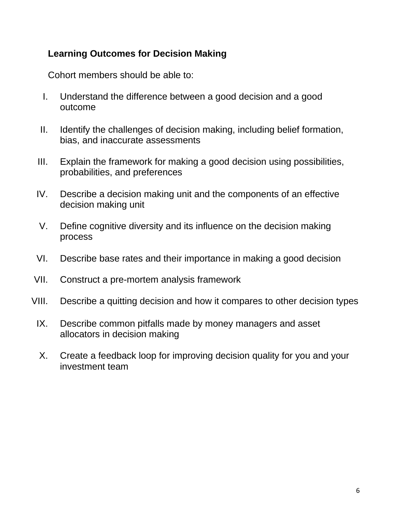### **Learning Outcomes for Decision Making**

- I. Understand the difference between a good decision and a good outcome
- II. Identify the challenges of decision making, including belief formation, bias, and inaccurate assessments
- III. Explain the framework for making a good decision using possibilities, probabilities, and preferences
- IV. Describe a decision making unit and the components of an effective decision making unit
- V. Define cognitive diversity and its influence on the decision making process
- VI. Describe base rates and their importance in making a good decision
- VII. Construct a pre-mortem analysis framework
- VIII. Describe a quitting decision and how it compares to other decision types
	- IX. Describe common pitfalls made by money managers and asset allocators in decision making
	- X. Create a feedback loop for improving decision quality for you and your investment team